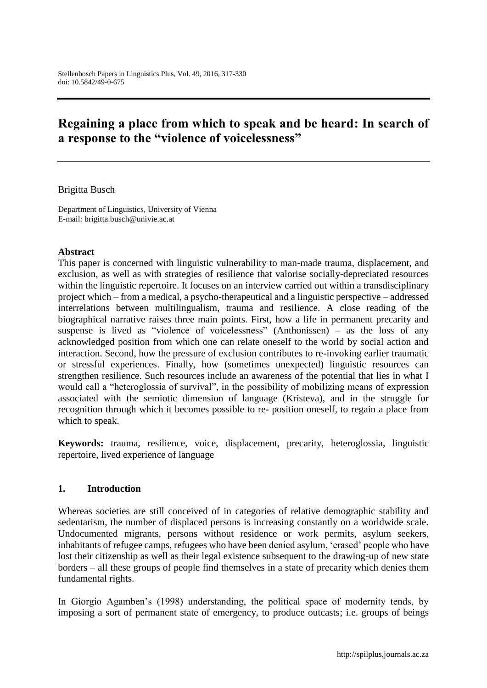# **Regaining a place from which to speak and be heard: In search of a response to the "violence of voicelessness"**

#### Brigitta Busch

Department of Linguistics, University of Vienna E-mail: brigitta.busch@univie.ac.at

#### **Abstract**

This paper is concerned with linguistic vulnerability to man-made trauma, displacement, and exclusion, as well as with strategies of resilience that valorise socially-depreciated resources within the linguistic repertoire. It focuses on an interview carried out within a transdisciplinary project which – from a medical, a psycho-therapeutical and a linguistic perspective – addressed interrelations between multilingualism, trauma and resilience. A close reading of the biographical narrative raises three main points. First, how a life in permanent precarity and suspense is lived as "violence of voicelessness" (Anthonissen) – as the loss of any acknowledged position from which one can relate oneself to the world by social action and interaction. Second, how the pressure of exclusion contributes to re-invoking earlier traumatic or stressful experiences. Finally, how (sometimes unexpected) linguistic resources can strengthen resilience. Such resources include an awareness of the potential that lies in what I would call a "heteroglossia of survival", in the possibility of mobilizing means of expression associated with the semiotic dimension of language (Kristeva), and in the struggle for recognition through which it becomes possible to re- position oneself, to regain a place from which to speak.

**Keywords:** trauma, resilience, voice, displacement, precarity, heteroglossia, linguistic repertoire, lived experience of language

#### **1. Introduction**

Whereas societies are still conceived of in categories of relative demographic stability and sedentarism, the number of displaced persons is increasing constantly on a worldwide scale. Undocumented migrants, persons without residence or work permits, asylum seekers, inhabitants of refugee camps, refugees who have been denied asylum, 'erased' people who have lost their citizenship as well as their legal existence subsequent to the drawing-up of new state borders – all these groups of people find themselves in a state of precarity which denies them fundamental rights.

In Giorgio Agamben's (1998) understanding, the political space of modernity tends, by imposing a sort of permanent state of emergency, to produce outcasts; i.e. groups of beings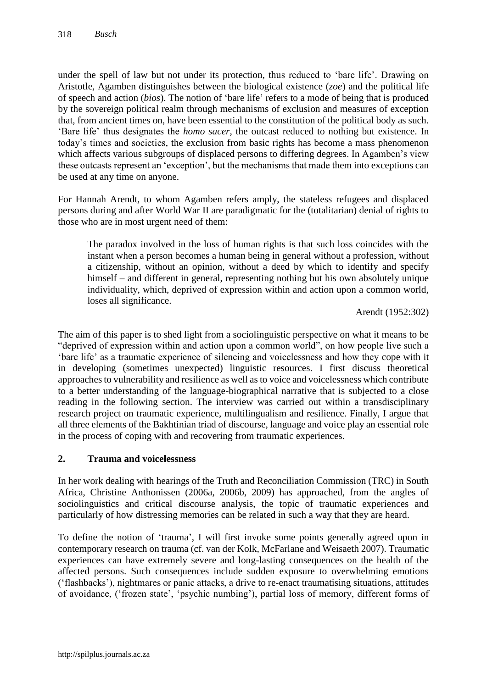under the spell of law but not under its protection, thus reduced to 'bare life'. Drawing on Aristotle, Agamben distinguishes between the biological existence (*zoe*) and the political life of speech and action (*bios*). The notion of 'bare life' refers to a mode of being that is produced by the sovereign political realm through mechanisms of exclusion and measures of exception that, from ancient times on, have been essential to the constitution of the political body as such. 'Bare life' thus designates the *homo sacer*, the outcast reduced to nothing but existence. In today's times and societies, the exclusion from basic rights has become a mass phenomenon which affects various subgroups of displaced persons to differing degrees. In Agamben's view these outcasts represent an 'exception', but the mechanisms that made them into exceptions can be used at any time on anyone.

For Hannah Arendt, to whom Agamben refers amply, the stateless refugees and displaced persons during and after World War II are paradigmatic for the (totalitarian) denial of rights to those who are in most urgent need of them:

The paradox involved in the loss of human rights is that such loss coincides with the instant when a person becomes a human being in general without a profession, without a citizenship, without an opinion, without a deed by which to identify and specify himself – and different in general, representing nothing but his own absolutely unique individuality, which, deprived of expression within and action upon a common world, loses all significance.

Arendt (1952:302)

The aim of this paper is to shed light from a sociolinguistic perspective on what it means to be "deprived of expression within and action upon a common world", on how people live such a 'bare life' as a traumatic experience of silencing and voicelessness and how they cope with it in developing (sometimes unexpected) linguistic resources. I first discuss theoretical approaches to vulnerability and resilience as well as to voice and voicelessness which contribute to a better understanding of the language-biographical narrative that is subjected to a close reading in the following section. The interview was carried out within a transdisciplinary research project on traumatic experience, multilingualism and resilience. Finally, I argue that all three elements of the Bakhtinian triad of discourse, language and voice play an essential role in the process of coping with and recovering from traumatic experiences.

# **2. Trauma and voicelessness**

In her work dealing with hearings of the Truth and Reconciliation Commission (TRC) in South Africa, Christine Anthonissen (2006a, 2006b, 2009) has approached, from the angles of sociolinguistics and critical discourse analysis, the topic of traumatic experiences and particularly of how distressing memories can be related in such a way that they are heard.

To define the notion of 'trauma', I will first invoke some points generally agreed upon in contemporary research on trauma (cf. van der Kolk, McFarlane and Weisaeth 2007). Traumatic experiences can have extremely severe and long-lasting consequences on the health of the affected persons. Such consequences include sudden exposure to overwhelming emotions ('flashbacks'), nightmares or panic attacks, a drive to re-enact traumatising situations, attitudes of avoidance, ('frozen state', 'psychic numbing'), partial loss of memory, different forms of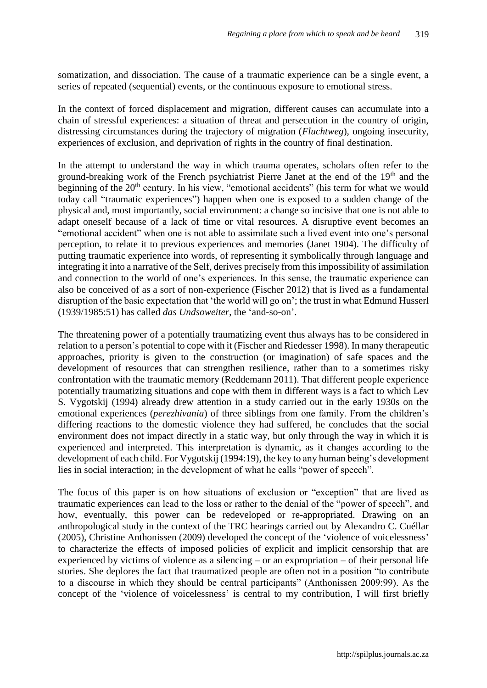somatization, and dissociation. The cause of a traumatic experience can be a single event, a series of repeated (sequential) events, or the continuous exposure to emotional stress.

In the context of forced displacement and migration, different causes can accumulate into a chain of stressful experiences: a situation of threat and persecution in the country of origin, distressing circumstances during the trajectory of migration (*Fluchtweg*), ongoing insecurity, experiences of exclusion, and deprivation of rights in the country of final destination.

In the attempt to understand the way in which trauma operates, scholars often refer to the ground-breaking work of the French psychiatrist Pierre Janet at the end of the 19<sup>th</sup> and the beginning of the 20<sup>th</sup> century. In his view, "emotional accidents" (his term for what we would today call "traumatic experiences") happen when one is exposed to a sudden change of the physical and, most importantly, social environment: a change so incisive that one is not able to adapt oneself because of a lack of time or vital resources. A disruptive event becomes an "emotional accident" when one is not able to assimilate such a lived event into one's personal perception, to relate it to previous experiences and memories (Janet 1904). The difficulty of putting traumatic experience into words, of representing it symbolically through language and integrating it into a narrative of the Self, derives precisely from this impossibility of assimilation and connection to the world of one's experiences. In this sense, the traumatic experience can also be conceived of as a sort of non-experience (Fischer 2012) that is lived as a fundamental disruption of the basic expectation that 'the world will go on'; the trust in what Edmund Husserl (1939/1985:51) has called *das Undsoweiter*, the 'and-so-on'.

The threatening power of a potentially traumatizing event thus always has to be considered in relation to a person's potential to cope with it (Fischer and Riedesser 1998). In many therapeutic approaches, priority is given to the construction (or imagination) of safe spaces and the development of resources that can strengthen resilience, rather than to a sometimes risky confrontation with the traumatic memory (Reddemann 2011). That different people experience potentially traumatizing situations and cope with them in different ways is a fact to which Lev S. Vygotskij (1994) already drew attention in a study carried out in the early 1930s on the emotional experiences (*perezhivania*) of three siblings from one family. From the children's differing reactions to the domestic violence they had suffered, he concludes that the social environment does not impact directly in a static way, but only through the way in which it is experienced and interpreted. This interpretation is dynamic, as it changes according to the development of each child. For Vygotskij (1994:19), the key to any human being's development lies in social interaction; in the development of what he calls "power of speech".

The focus of this paper is on how situations of exclusion or "exception" that are lived as traumatic experiences can lead to the loss or rather to the denial of the "power of speech", and how, eventually, this power can be redeveloped or re-appropriated. Drawing on an anthropological study in the context of the TRC hearings carried out by Alexandro C. Cuéllar (2005), Christine Anthonissen (2009) developed the concept of the 'violence of voicelessness' to characterize the effects of imposed policies of explicit and implicit censorship that are experienced by victims of violence as a silencing  $-$  or an expropriation  $-$  of their personal life stories. She deplores the fact that traumatized people are often not in a position "to contribute to a discourse in which they should be central participants" (Anthonissen 2009:99). As the concept of the 'violence of voicelessness' is central to my contribution, I will first briefly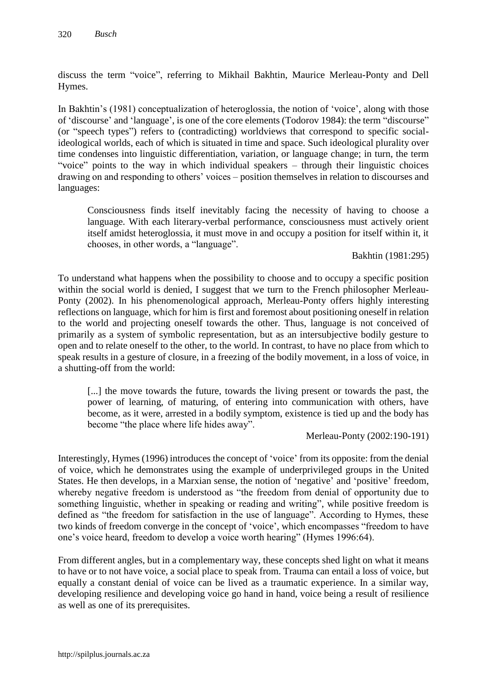discuss the term "voice", referring to Mikhail Bakhtin, Maurice Merleau-Ponty and Dell Hymes.

In Bakhtin's (1981) conceptualization of heteroglossia, the notion of 'voice', along with those of 'discourse' and 'language', is one of the core elements (Todorov 1984): the term "discourse" (or "speech types") refers to (contradicting) worldviews that correspond to specific socialideological worlds, each of which is situated in time and space. Such ideological plurality over time condenses into linguistic differentiation, variation, or language change; in turn, the term "voice" points to the way in which individual speakers – through their linguistic choices drawing on and responding to others' voices – position themselves in relation to discourses and languages:

Consciousness finds itself inevitably facing the necessity of having to choose a language. With each literary-verbal performance, consciousness must actively orient itself amidst heteroglossia, it must move in and occupy a position for itself within it, it chooses, in other words, a "language".

Bakhtin (1981:295)

To understand what happens when the possibility to choose and to occupy a specific position within the social world is denied, I suggest that we turn to the French philosopher Merleau-Ponty (2002). In his phenomenological approach, Merleau-Ponty offers highly interesting reflections on language, which for him is first and foremost about positioning oneself in relation to the world and projecting oneself towards the other. Thus, language is not conceived of primarily as a system of symbolic representation, but as an intersubjective bodily gesture to open and to relate oneself to the other, to the world. In contrast, to have no place from which to speak results in a gesture of closure, in a freezing of the bodily movement, in a loss of voice, in a shutting-off from the world:

[...] the move towards the future, towards the living present or towards the past, the power of learning, of maturing, of entering into communication with others, have become, as it were, arrested in a bodily symptom, existence is tied up and the body has become "the place where life hides away".

Merleau-Ponty (2002:190-191)

Interestingly, Hymes (1996) introduces the concept of 'voice' from its opposite: from the denial of voice, which he demonstrates using the example of underprivileged groups in the United States. He then develops, in a Marxian sense, the notion of 'negative' and 'positive' freedom, whereby negative freedom is understood as "the freedom from denial of opportunity due to something linguistic, whether in speaking or reading and writing", while positive freedom is defined as "the freedom for satisfaction in the use of language". According to Hymes, these two kinds of freedom converge in the concept of 'voice', which encompasses "freedom to have one's voice heard, freedom to develop a voice worth hearing" (Hymes 1996:64).

From different angles, but in a complementary way, these concepts shed light on what it means to have or to not have voice, a social place to speak from. Trauma can entail a loss of voice, but equally a constant denial of voice can be lived as a traumatic experience. In a similar way, developing resilience and developing voice go hand in hand, voice being a result of resilience as well as one of its prerequisites.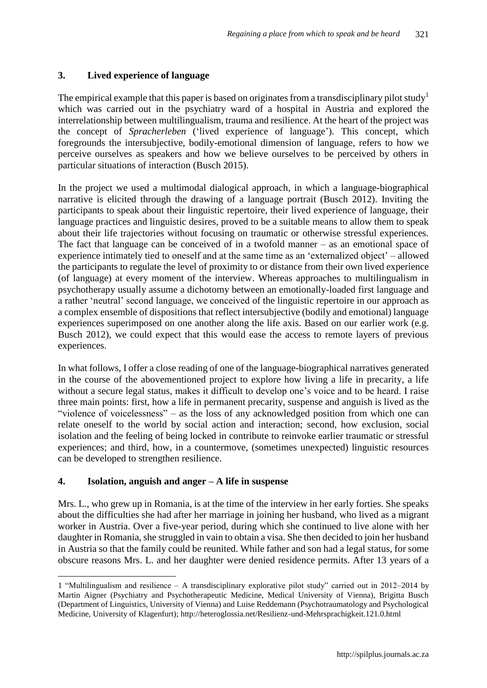#### **3. Lived experience of language**

The empirical example that this paper is based on originates from a transdisciplinary pilot study<sup>1</sup> which was carried out in the psychiatry ward of a hospital in Austria and explored the interrelationship between multilingualism, trauma and resilience. At the heart of the project was the concept of *Spracherleben* ('lived experience of language'). This concept, which foregrounds the intersubjective, bodily-emotional dimension of language, refers to how we perceive ourselves as speakers and how we believe ourselves to be perceived by others in particular situations of interaction (Busch 2015).

In the project we used a multimodal dialogical approach, in which a language-biographical narrative is elicited through the drawing of a language portrait (Busch 2012). Inviting the participants to speak about their linguistic repertoire, their lived experience of language, their language practices and linguistic desires, proved to be a suitable means to allow them to speak about their life trajectories without focusing on traumatic or otherwise stressful experiences. The fact that language can be conceived of in a twofold manner – as an emotional space of experience intimately tied to oneself and at the same time as an 'externalized object' – allowed the participants to regulate the level of proximity to or distance from their own lived experience (of language) at every moment of the interview. Whereas approaches to multilingualism in psychotherapy usually assume a dichotomy between an emotionally-loaded first language and a rather 'neutral' second language, we conceived of the linguistic repertoire in our approach as a complex ensemble of dispositions that reflect intersubjective (bodily and emotional) language experiences superimposed on one another along the life axis. Based on our earlier work (e.g. Busch 2012), we could expect that this would ease the access to remote layers of previous experiences.

In what follows, I offer a close reading of one of the language-biographical narratives generated in the course of the abovementioned project to explore how living a life in precarity, a life without a secure legal status, makes it difficult to develop one's voice and to be heard. I raise three main points: first, how a life in permanent precarity, suspense and anguish is lived as the "violence of voicelessness" – as the loss of any acknowledged position from which one can relate oneself to the world by social action and interaction; second, how exclusion, social isolation and the feeling of being locked in contribute to reinvoke earlier traumatic or stressful experiences; and third, how, in a countermove, (sometimes unexpected) linguistic resources can be developed to strengthen resilience.

#### **4. Isolation, anguish and anger – A life in suspense**

 $\overline{a}$ 

Mrs. L., who grew up in Romania, is at the time of the interview in her early forties. She speaks about the difficulties she had after her marriage in joining her husband, who lived as a migrant worker in Austria. Over a five-year period, during which she continued to live alone with her daughter in Romania, she struggled in vain to obtain a visa. She then decided to join her husband in Austria so that the family could be reunited. While father and son had a legal status, for some obscure reasons Mrs. L. and her daughter were denied residence permits. After 13 years of a

<sup>1</sup> "Multilingualism and resilience – A transdisciplinary explorative pilot study" carried out in 2012–2014 by Martin Aigner (Psychiatry and Psychotherapeutic Medicine, Medical University of Vienna), Brigitta Busch (Department of Linguistics, University of Vienna) and Luise Reddemann (Psychotraumatology and Psychological Medicine, University of Klagenfurt); http://heteroglossia.net/Resilienz-und-Mehrsprachigkeit.121.0.html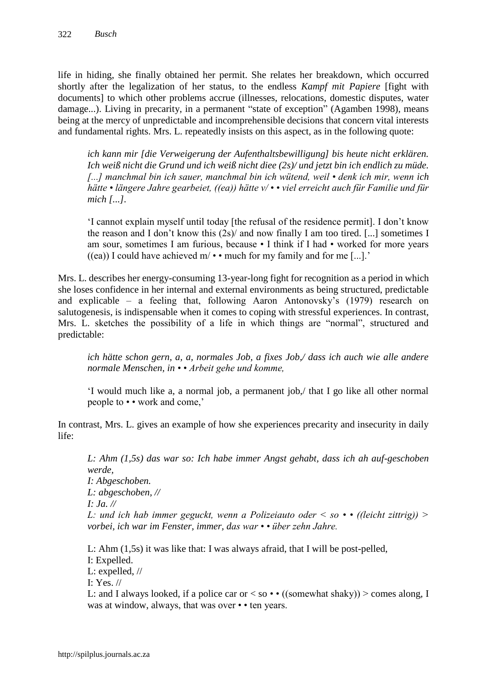life in hiding, she finally obtained her permit. She relates her breakdown, which occurred shortly after the legalization of her status, to the endless *Kampf mit Papiere* [fight with documents] to which other problems accrue (illnesses, relocations, domestic disputes, water damage...). Living in precarity, in a permanent "state of exception" (Agamben 1998), means being at the mercy of unpredictable and incomprehensible decisions that concern vital interests and fundamental rights. Mrs. L. repeatedly insists on this aspect, as in the following quote:

*ich kann mir [die Verweigerung der Aufenthaltsbewilligung] bis heute nicht erklären. Ich weiß nicht die Grund und ich weiß nicht diee (2s)/ und jetzt bin ich endlich zu müde. [...] manchmal bin ich sauer, manchmal bin ich wütend, weil • denk ich mir, wenn ich hätte • längere Jahre gearbeiet, ((ea)) hätte v/ • • viel erreicht auch für Familie und für mich [...].*

'I cannot explain myself until today [the refusal of the residence permit]. I don't know the reason and I don't know this (2s)/ and now finally I am too tired. [...] sometimes I am sour, sometimes I am furious, because • I think if I had • worked for more years ((ea)) I could have achieved  $m \rightarrow \infty$  much for my family and for me [...].'

Mrs. L. describes her energy-consuming 13-year-long fight for recognition as a period in which she loses confidence in her internal and external environments as being structured, predictable and explicable – a feeling that, following Aaron Antonovsky's (1979) research on salutogenesis, is indispensable when it comes to coping with stressful experiences. In contrast, Mrs. L. sketches the possibility of a life in which things are "normal", structured and predictable:

*ich hätte schon gern, a, a, normales Job, a fixes Job,/ dass ich auch wie alle andere normale Menschen, in • • Arbeit gehe und komme,*

'I would much like a, a normal job, a permanent job,/ that I go like all other normal people to • • work and come,'

In contrast, Mrs. L. gives an example of how she experiences precarity and insecurity in daily life:

*L: Ahm (1,5s) das war so: Ich habe immer Angst gehabt, dass ich ah auf-geschoben werde, I: Abgeschoben. L: abgeschoben, // I: Ja. // L: und ich hab immer geguckt, wenn a Polizeiauto oder < so • • ((leicht zittrig)) > vorbei, ich war im Fenster, immer, das war • • über zehn Jahre.* 

L: Ahm (1,5s) it was like that: I was always afraid, that I will be post-pelled,

I: Expelled.

L: expelled, //

I: Yes. //

L: and I always looked, if a police car or  $\lt$  so  $\cdot \cdot$  ((somewhat shaky))  $\gt$  comes along, I was at window, always, that was over • • ten years.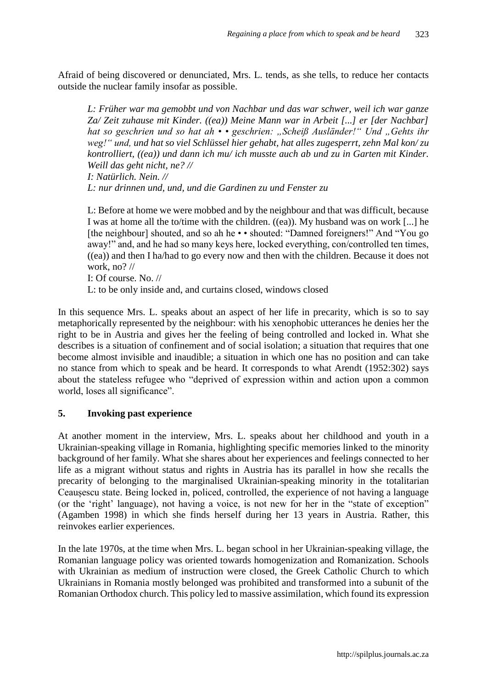Afraid of being discovered or denunciated, Mrs. L. tends, as she tells, to reduce her contacts outside the nuclear family insofar as possible.

*L: Früher war ma gemobbt und von Nachbar und das war schwer, weil ich war ganze Za/ Zeit zuhause mit Kinder. ((ea)) Meine Mann war in Arbeit [...] er [der Nachbar]*  hat so geschrien und so hat ah • • geschrien: "Scheiß Ausländer!" Und "Gehts ihr *weg!" und, und hat so viel Schlüssel hier gehabt, hat alles zugesperrt, zehn Mal kon/ zu kontrolliert, ((ea)) und dann ich mu/ ich musste auch ab und zu in Garten mit Kinder. Weill das geht nicht, ne? //*

*I: Natürlich. Nein. //* 

*L: nur drinnen und, und, und die Gardinen zu und Fenster zu*

L: Before at home we were mobbed and by the neighbour and that was difficult, because I was at home all the to/time with the children. ((ea)). My husband was on work [...] he [the neighbour] shouted, and so ah he • • shouted: "Damned foreigners!" And "You go away!" and, and he had so many keys here, locked everything, con/controlled ten times,  $((ea))$  and then I ha/had to go every now and then with the children. Because it does not work, no? //

I: Of course. No. //

L: to be only inside and, and curtains closed, windows closed

In this sequence Mrs. L. speaks about an aspect of her life in precarity, which is so to say metaphorically represented by the neighbour: with his xenophobic utterances he denies her the right to be in Austria and gives her the feeling of being controlled and locked in. What she describes is a situation of confinement and of social isolation; a situation that requires that one become almost invisible and inaudible; a situation in which one has no position and can take no stance from which to speak and be heard. It corresponds to what Arendt (1952:302) says about the stateless refugee who "deprived of expression within and action upon a common world, loses all significance".

#### **5. Invoking past experience**

At another moment in the interview, Mrs. L. speaks about her childhood and youth in a Ukrainian-speaking village in Romania, highlighting specific memories linked to the minority background of her family. What she shares about her experiences and feelings connected to her life as a migrant without status and rights in Austria has its parallel in how she recalls the precarity of belonging to the marginalised Ukrainian-speaking minority in the totalitarian Ceaușescu state. Being locked in, policed, controlled, the experience of not having a language (or the 'right' language), not having a voice, is not new for her in the "state of exception" (Agamben 1998) in which she finds herself during her 13 years in Austria. Rather, this reinvokes earlier experiences.

In the late 1970s, at the time when Mrs. L. began school in her Ukrainian-speaking village, the Romanian language policy was oriented towards homogenization and Romanization. Schools with Ukrainian as medium of instruction were closed, the Greek Catholic Church to which Ukrainians in Romania mostly belonged was prohibited and transformed into a subunit of the Romanian Orthodox church. This policy led to massive assimilation, which found its expression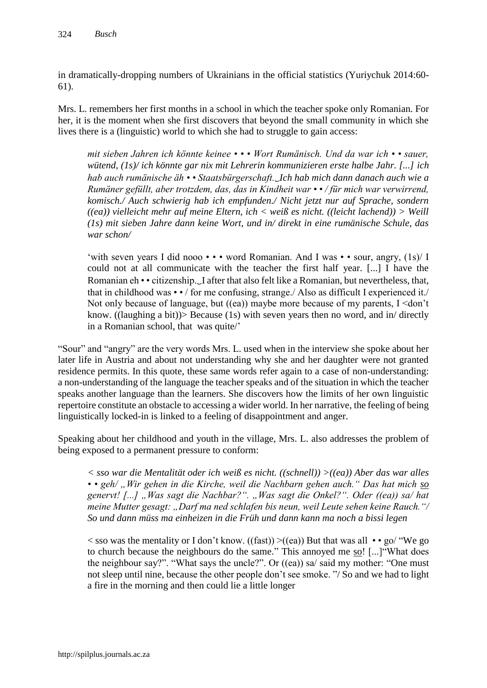in dramatically-dropping numbers of Ukrainians in the official statistics (Yuriychuk 2014:60- 61).

Mrs. L. remembers her first months in a school in which the teacher spoke only Romanian. For her, it is the moment when she first discovers that beyond the small community in which she lives there is a (linguistic) world to which she had to struggle to gain access:

*mit sieben Jahren ich könnte keinee • • • Wort Rumänisch. Und da war ich • • sauer, wütend, (1s)/ ich könnte gar nix mit Lehrerin kommunizieren erste halbe Jahr. [...] ich hab auch rumänische äh • • Staatsbürgerschaft.*‿*Ich hab mich dann danach auch wie a Rumäner gefüllt, aber trotzdem, das, das in Kindheit war • • / für mich war verwirrend, komisch./ Auch schwierig hab ich empfunden./ Nicht jetzt nur auf Sprache, sondern ((ea)) vielleicht mehr auf meine Eltern, ich < weiß es nicht. ((leicht lachend)) > Weill (1s) mit sieben Jahre dann keine Wort, und in/ direkt in eine rumänische Schule, das war schon/* 

'with seven years I did nooo • • • word Romanian. And I was • • sour, angry, (1s)/ I could not at all communicate with the teacher the first half year. [...] I have the Romanian eh • • citizenship.‿I after that also felt like a Romanian, but nevertheless, that, that in childhood was  $\cdot \cdot$  for me confusing, strange. Also as difficult I experienced it. Not only because of language, but ((ea)) maybe more because of my parents, I <don't know. ((laughing a bit))> Because (1s) with seven years then no word, and in/ directly in a Romanian school, that was quite/'

"Sour" and "angry" are the very words Mrs. L. used when in the interview she spoke about her later life in Austria and about not understanding why she and her daughter were not granted residence permits. In this quote, these same words refer again to a case of non-understanding: a non-understanding of the language the teacher speaks and of the situation in which the teacher speaks another language than the learners. She discovers how the limits of her own linguistic repertoire constitute an obstacle to accessing a wider world. In her narrative, the feeling of being linguistically locked-in is linked to a feeling of disappointment and anger.

Speaking about her childhood and youth in the village, Mrs. L. also addresses the problem of being exposed to a permanent pressure to conform:

*< sso war die Mentalität oder ich weiß es nicht. ((schnell)) >((ea)) Aber das war alles*  • • geh/, Wir gehen in die Kirche, weil die Nachbarn gehen auch." Das hat mich so *genervt! [...] "Was sagt die Nachbar?". "Was sagt die Onkel?". Oder ((ea)) sa/ hat meine Mutter gesagt: "Darf ma ned schlafen bis neun, weil Leute sehen keine Rauch."/ So und dann müss ma einheizen in die Früh und dann kann ma noch a bissi legen*

 $\langle$  sso was the mentality or I don't know. ((fast))  $\langle$  (ea)) But that was all • • go/ "We go to church because the neighbours do the same." This annoyed me so! [...]"What does the neighbour say?". "What says the uncle?". Or ((ea)) sa/ said my mother: "One must not sleep until nine, because the other people don't see smoke. "/ So and we had to light a fire in the morning and then could lie a little longer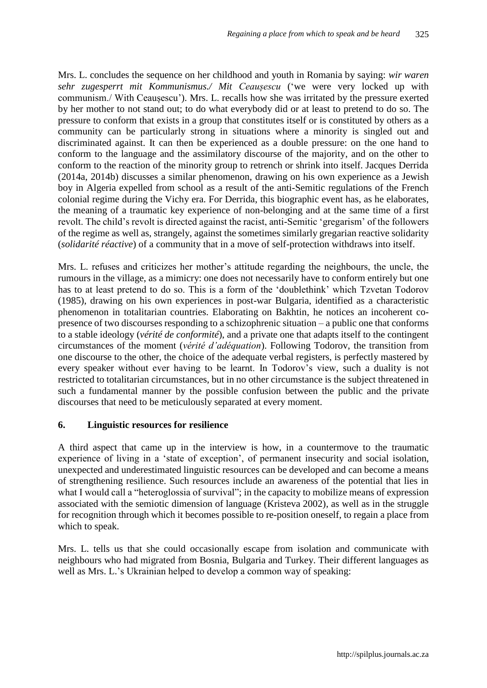Mrs. L. concludes the sequence on her childhood and youth in Romania by saying: *wir waren sehr zugesperrt mit Kommunismus./ Mit Ceaușescu* ('we were very locked up with communism./ With Ceaușescu'). Mrs. L. recalls how she was irritated by the pressure exerted by her mother to not stand out; to do what everybody did or at least to pretend to do so. The pressure to conform that exists in a group that constitutes itself or is constituted by others as a community can be particularly strong in situations where a minority is singled out and discriminated against. It can then be experienced as a double pressure: on the one hand to conform to the language and the assimilatory discourse of the majority, and on the other to conform to the reaction of the minority group to retrench or shrink into itself. Jacques Derrida (2014a, 2014b) discusses a similar phenomenon, drawing on his own experience as a Jewish boy in Algeria expelled from school as a result of the anti-Semitic regulations of the French colonial regime during the Vichy era. For Derrida, this biographic event has, as he elaborates, the meaning of a traumatic key experience of non-belonging and at the same time of a first revolt. The child's revolt is directed against the racist, anti-Semitic 'gregarism' of the followers of the regime as well as, strangely, against the sometimes similarly gregarian reactive solidarity (*solidarité réactive*) of a community that in a move of self-protection withdraws into itself.

Mrs. L. refuses and criticizes her mother's attitude regarding the neighbours, the uncle, the rumours in the village, as a mimicry: one does not necessarily have to conform entirely but one has to at least pretend to do so. This is a form of the 'doublethink' which Tzvetan Todorov (1985), drawing on his own experiences in post-war Bulgaria, identified as a characteristic phenomenon in totalitarian countries. Elaborating on Bakhtin, he notices an incoherent copresence of two discourses responding to a schizophrenic situation – a public one that conforms to a stable ideology (*vérité de conformité*), and a private one that adapts itself to the contingent circumstances of the moment (*vérité d'adéquation*). Following Todorov, the transition from one discourse to the other, the choice of the adequate verbal registers, is perfectly mastered by every speaker without ever having to be learnt. In Todorov's view, such a duality is not restricted to totalitarian circumstances, but in no other circumstance is the subject threatened in such a fundamental manner by the possible confusion between the public and the private discourses that need to be meticulously separated at every moment.

#### **6. Linguistic resources for resilience**

A third aspect that came up in the interview is how, in a countermove to the traumatic experience of living in a 'state of exception', of permanent insecurity and social isolation, unexpected and underestimated linguistic resources can be developed and can become a means of strengthening resilience. Such resources include an awareness of the potential that lies in what I would call a "heteroglossia of survival"; in the capacity to mobilize means of expression associated with the semiotic dimension of language (Kristeva 2002), as well as in the struggle for recognition through which it becomes possible to re-position oneself, to regain a place from which to speak.

Mrs. L. tells us that she could occasionally escape from isolation and communicate with neighbours who had migrated from Bosnia, Bulgaria and Turkey. Their different languages as well as Mrs. L.'s Ukrainian helped to develop a common way of speaking: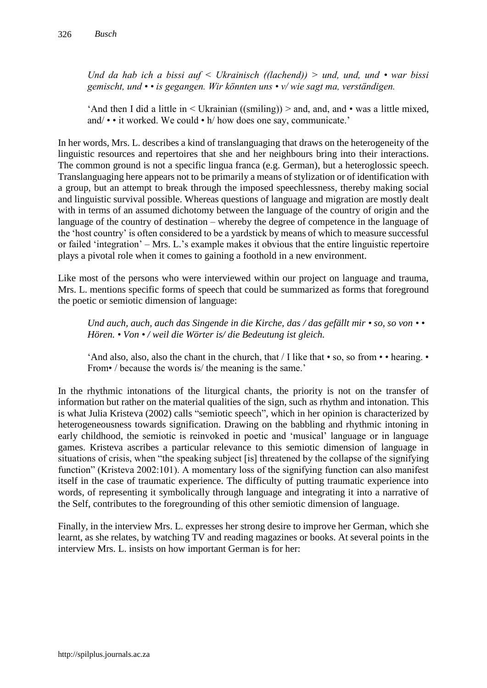*Und da hab ich a bissi auf < Ukrainisch ((lachend)) > und, und, und • war bissi gemischt, und • • is gegangen. Wir könnten uns • v/ wie sagt ma, verständigen.* 

'And then I did a little in  $\leq$  Ukrainian ((smiling))  $\geq$  and, and, and • was a little mixed, and/ • • it worked. We could • h/ how does one say, communicate.'

In her words, Mrs. L. describes a kind of translanguaging that draws on the heterogeneity of the linguistic resources and repertoires that she and her neighbours bring into their interactions. The common ground is not a specific lingua franca (e.g. German), but a heteroglossic speech. Translanguaging here appears not to be primarily a means of stylization or of identification with a group, but an attempt to break through the imposed speechlessness, thereby making social and linguistic survival possible. Whereas questions of language and migration are mostly dealt with in terms of an assumed dichotomy between the language of the country of origin and the language of the country of destination – whereby the degree of competence in the language of the 'host country' is often considered to be a yardstick by means of which to measure successful or failed 'integration' – Mrs. L.'s example makes it obvious that the entire linguistic repertoire plays a pivotal role when it comes to gaining a foothold in a new environment.

Like most of the persons who were interviewed within our project on language and trauma, Mrs. L. mentions specific forms of speech that could be summarized as forms that foreground the poetic or semiotic dimension of language:

*Und auch, auch, auch das Singende in die Kirche, das / das gefällt mir • so, so von • • Hören. • Von • / weil die Wörter is/ die Bedeutung ist gleich.* 

'And also, also, also the chant in the church, that  $\overline{I}$  like that • so, so from • • hearing. • From• / because the words is/ the meaning is the same.'

In the rhythmic intonations of the liturgical chants, the priority is not on the transfer of information but rather on the material qualities of the sign, such as rhythm and intonation. This is what Julia Kristeva (2002) calls "semiotic speech", which in her opinion is characterized by heterogeneousness towards signification. Drawing on the babbling and rhythmic intoning in early childhood, the semiotic is reinvoked in poetic and 'musical' language or in language games. Kristeva ascribes a particular relevance to this semiotic dimension of language in situations of crisis, when "the speaking subject [is] threatened by the collapse of the signifying function" (Kristeva 2002:101). A momentary loss of the signifying function can also manifest itself in the case of traumatic experience. The difficulty of putting traumatic experience into words, of representing it symbolically through language and integrating it into a narrative of the Self, contributes to the foregrounding of this other semiotic dimension of language.

Finally, in the interview Mrs. L. expresses her strong desire to improve her German, which she learnt, as she relates, by watching TV and reading magazines or books. At several points in the interview Mrs. L. insists on how important German is for her: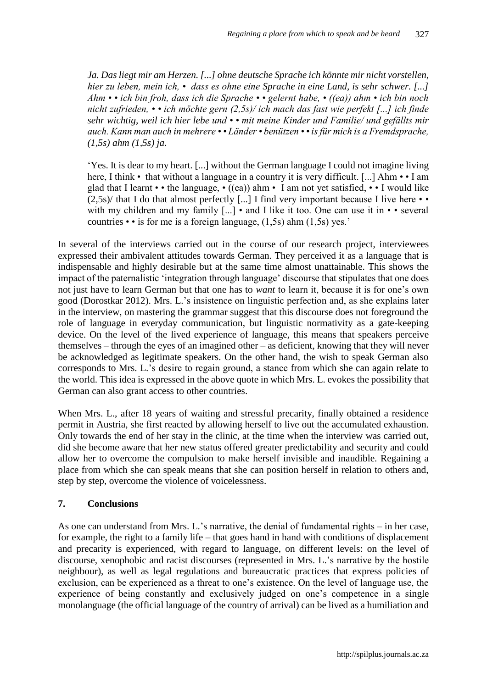*Ja. Das liegt mir am Herzen. [...] ohne deutsche Sprache ich könnte mir nicht vorstellen, hier zu leben, mein ich, • dass es ohne eine Sprache in eine Land, is sehr schwer. [...] Ahm • • ich bin froh, dass ich die Sprache • • gelernt habe, • ((ea)) ahm • ich bin noch nicht zufrieden, • • ich möchte gern (2,5s)/ ich mach das fast wie perfekt [...] ich finde sehr wichtig, weil ich hier lebe und • • mit meine Kinder und Familie/ und gefällts mir auch. Kann man auch in mehrere • • Länder • benützen • • is für mich is a Fremdsprache, (1,5s) ahm (1,5s) ja.*

'Yes. It is dear to my heart. [...] without the German language I could not imagine living here, I think • that without a language in a country it is very difficult. [...] Ahm • • I am glad that I learnt • • the language, • ((ea)) ahm • I am not yet satisfied, • • I would like  $(2.5s)$  that I do that almost perfectly [...] I find very important because I live here • • with my children and my family [...] • and I like it too. One can use it in • • several countries  $\cdot \cdot$  is for me is a foreign language, (1,5s) ahm (1,5s) yes.'

In several of the interviews carried out in the course of our research project, interviewees expressed their ambivalent attitudes towards German. They perceived it as a language that is indispensable and highly desirable but at the same time almost unattainable. This shows the impact of the paternalistic 'integration through language' discourse that stipulates that one does not just have to learn German but that one has to *want* to learn it, because it is for one's own good (Dorostkar 2012). Mrs. L.'s insistence on linguistic perfection and, as she explains later in the interview, on mastering the grammar suggest that this discourse does not foreground the role of language in everyday communication, but linguistic normativity as a gate-keeping device. On the level of the lived experience of language, this means that speakers perceive themselves – through the eyes of an imagined other – as deficient, knowing that they will never be acknowledged as legitimate speakers. On the other hand, the wish to speak German also corresponds to Mrs. L.'s desire to regain ground, a stance from which she can again relate to the world. This idea is expressed in the above quote in which Mrs. L. evokes the possibility that German can also grant access to other countries.

When Mrs. L., after 18 years of waiting and stressful precarity, finally obtained a residence permit in Austria, she first reacted by allowing herself to live out the accumulated exhaustion. Only towards the end of her stay in the clinic, at the time when the interview was carried out, did she become aware that her new status offered greater predictability and security and could allow her to overcome the compulsion to make herself invisible and inaudible. Regaining a place from which she can speak means that she can position herself in relation to others and, step by step, overcome the violence of voicelessness.

## **7. Conclusions**

As one can understand from Mrs. L.'s narrative, the denial of fundamental rights – in her case, for example, the right to a family life – that goes hand in hand with conditions of displacement and precarity is experienced, with regard to language, on different levels: on the level of discourse, xenophobic and racist discourses (represented in Mrs. L.'s narrative by the hostile neighbour), as well as legal regulations and bureaucratic practices that express policies of exclusion, can be experienced as a threat to one's existence. On the level of language use, the experience of being constantly and exclusively judged on one's competence in a single monolanguage (the official language of the country of arrival) can be lived as a humiliation and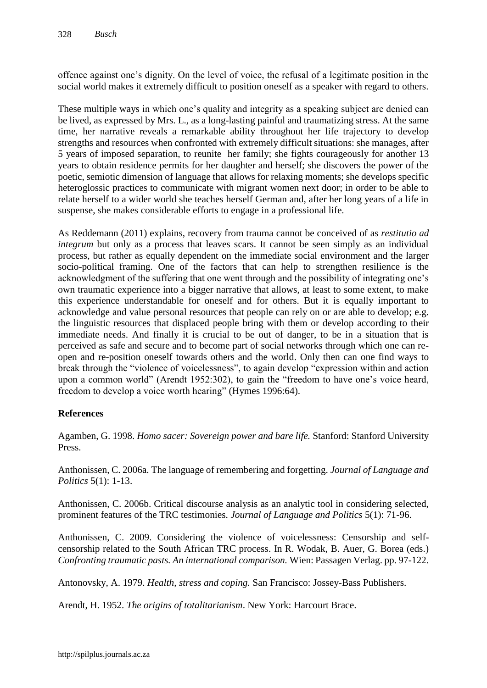offence against one's dignity. On the level of voice, the refusal of a legitimate position in the social world makes it extremely difficult to position oneself as a speaker with regard to others.

These multiple ways in which one's quality and integrity as a speaking subject are denied can be lived, as expressed by Mrs. L., as a long-lasting painful and traumatizing stress. At the same time, her narrative reveals a remarkable ability throughout her life trajectory to develop strengths and resources when confronted with extremely difficult situations: she manages, after 5 years of imposed separation, to reunite her family; she fights courageously for another 13 years to obtain residence permits for her daughter and herself; she discovers the power of the poetic, semiotic dimension of language that allows for relaxing moments; she develops specific heteroglossic practices to communicate with migrant women next door; in order to be able to relate herself to a wider world she teaches herself German and, after her long years of a life in suspense, she makes considerable efforts to engage in a professional life.

As Reddemann (2011) explains, recovery from trauma cannot be conceived of as *restitutio ad integrum* but only as a process that leaves scars. It cannot be seen simply as an individual process, but rather as equally dependent on the immediate social environment and the larger socio-political framing. One of the factors that can help to strengthen resilience is the acknowledgment of the suffering that one went through and the possibility of integrating one's own traumatic experience into a bigger narrative that allows, at least to some extent, to make this experience understandable for oneself and for others. But it is equally important to acknowledge and value personal resources that people can rely on or are able to develop; e.g. the linguistic resources that displaced people bring with them or develop according to their immediate needs. And finally it is crucial to be out of danger, to be in a situation that is perceived as safe and secure and to become part of social networks through which one can reopen and re-position oneself towards others and the world. Only then can one find ways to break through the "violence of voicelessness", to again develop "expression within and action upon a common world" (Arendt 1952:302), to gain the "freedom to have one's voice heard, freedom to develop a voice worth hearing" (Hymes 1996:64).

## **References**

Agamben, G. 1998. *Homo sacer: Sovereign power and bare life.* Stanford: Stanford University Press.

Anthonissen, C. 2006a. The language of remembering and forgetting. *Journal of Language and Politics* 5(1): 1-13.

Anthonissen, C. 2006b. Critical discourse analysis as an analytic tool in considering selected, prominent features of the TRC testimonies. *Journal of Language and Politics* 5(1): 71-96.

Anthonissen, C. 2009. Considering the violence of voicelessness: Censorship and selfcensorship related to the South African TRC process. In R. Wodak, B. Auer, G. Borea (eds.) *Confronting traumatic pasts. An international comparison.* Wien: Passagen Verlag. pp. 97-122.

Antonovsky, A. 1979. *Health, stress and coping.* San Francisco: Jossey-Bass Publishers.

Arendt, H. 1952. *The origins of totalitarianism*. New York: Harcourt Brace.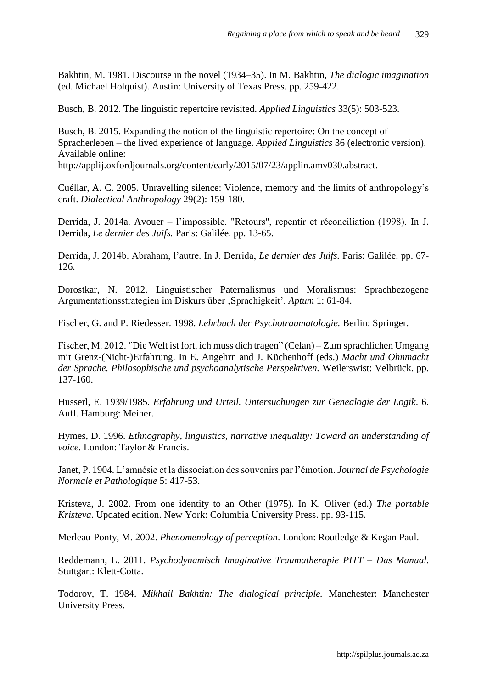Bakhtin, M. 1981. Discourse in the novel (1934–35). In M. Bakhtin, *The dialogic imagination* (ed. Michael Holquist). Austin: University of Texas Press. pp. 259-422.

Busch, B. 2012. The linguistic repertoire revisited. *Applied Linguistics* 33(5): 503-523.

Busch, B. 2015. Expanding the notion of the linguistic repertoire: On the concept of Spracherleben – the lived experience of language. *Applied Linguistics* 36 (electronic version). Available online:

http://applij.oxfordjournals.org/content/early/2015/07/23/applin.amv030.abstract.

Cuéllar, A. C. 2005. Unravelling silence: Violence, memory and the limits of anthropology's craft. *Dialectical Anthropology* 29(2): 159-180.

Derrida, J. 2014a. Avouer – l'impossible. "Retours", repentir et réconciliation (1998). In J. Derrida, *Le dernier des Juifs.* Paris: Galilée. pp. 13-65.

Derrida, J. 2014b. Abraham, l'autre. In J. Derrida, *Le dernier des Juifs.* Paris: Galilée. pp. 67- 126.

Dorostkar, N. 2012. Linguistischer Paternalismus und Moralismus: Sprachbezogene Argumentationsstrategien im Diskurs über 'Sprachigkeit'. *Aptum* 1: 61-84.

Fischer, G. and P. Riedesser. 1998. *Lehrbuch der Psychotraumatologie.* Berlin: Springer.

Fischer, M. 2012. "Die Welt ist fort, ich muss dich tragen" (Celan) – Zum sprachlichen Umgang mit Grenz-(Nicht-)Erfahrung. In E. Angehrn and J. Küchenhoff (eds.) *Macht und Ohnmacht der Sprache. Philosophische und psychoanalytische Perspektiven.* Weilerswist: Velbrück. pp. 137-160.

Husserl, E. 1939/1985. *Erfahrung und Urteil. Untersuchungen zur Genealogie der Logik*. 6. Aufl. Hamburg: Meiner.

Hymes, D. 1996. *Ethnography, linguistics, narrative inequality: Toward an understanding of voice.* London: Taylor & Francis.

Janet, P. 1904. L'amnésie et la dissociation des souvenirs par l'émotion. *Journal de Psychologie Normale et Pathologique* 5: 417-53.

Kristeva, J. 2002. From one identity to an Other (1975). In K. Oliver (ed.) *The portable Kristeva*. Updated edition. New York: Columbia University Press. pp. 93-115.

Merleau-Ponty, M. 2002. *Phenomenology of perception*. London: Routledge & Kegan Paul.

Reddemann, L. 2011. *Psychodynamisch Imaginative Traumatherapie PITT – Das Manual.* Stuttgart: Klett-Cotta.

Todorov, T. 1984. *Mikhail Bakhtin: The dialogical principle.* Manchester: Manchester University Press.